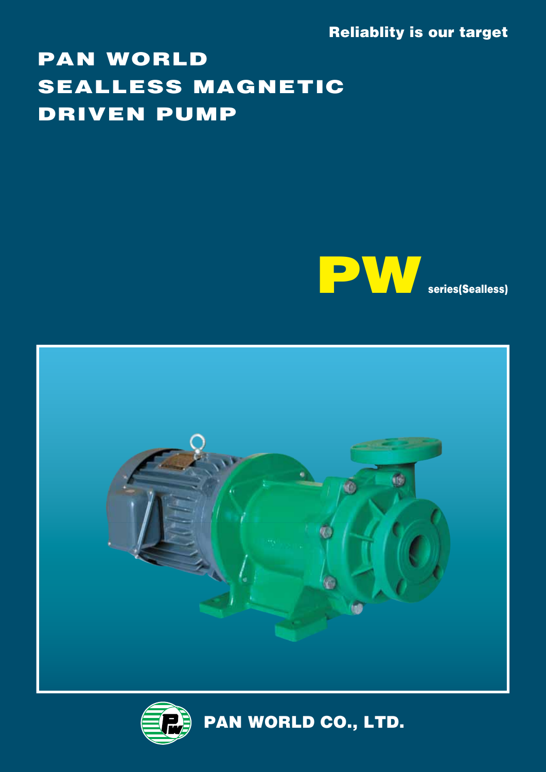Reliablity is our target

# PAN WORLD SEALLESS MAGNETIC DRIVEN PUMP





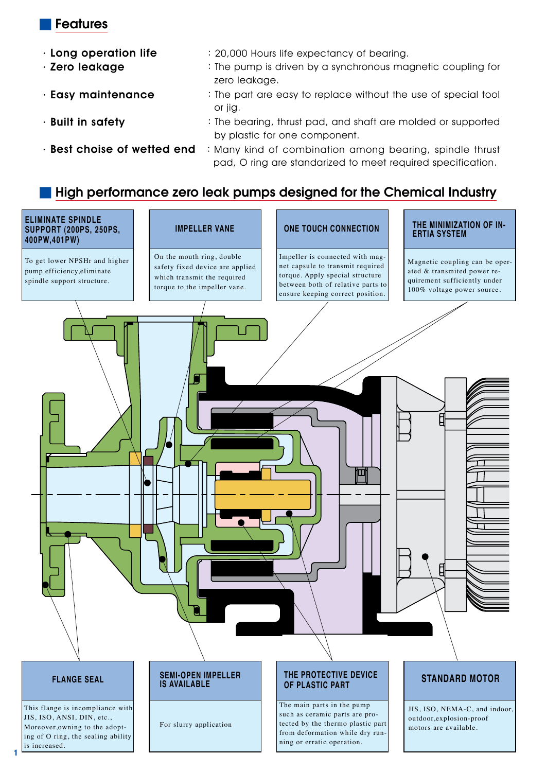#### ■ Features

- 
- . Long operation life : 20,000 Hours life expectancy of bearing.
- . **Zero leakage** : The pump is driven by a synchronous magnetic coupling for zero leakage.
- . **Easy maintenance** : The part are easy to replace without the use of special tool or jig.
- **Built in safety** : The bearing, thrust pad, and shaft are molded or supported by plastic for one component.
	-
- . Best choise of wetted end : Many kind of combination among bearing, spindle thrust pad, O ring are standarized to meet required specification.

### High performance zero leak pumps designed for the Chemical Industry



Moreover,owning to the adopting of O ring, the sealing ability is increased.

**1**

For slurry application

such as ceramic parts are protected by the thermo plastic part from deformation while dry running or erratic operation.

outdoor,explosion-proof motors are available.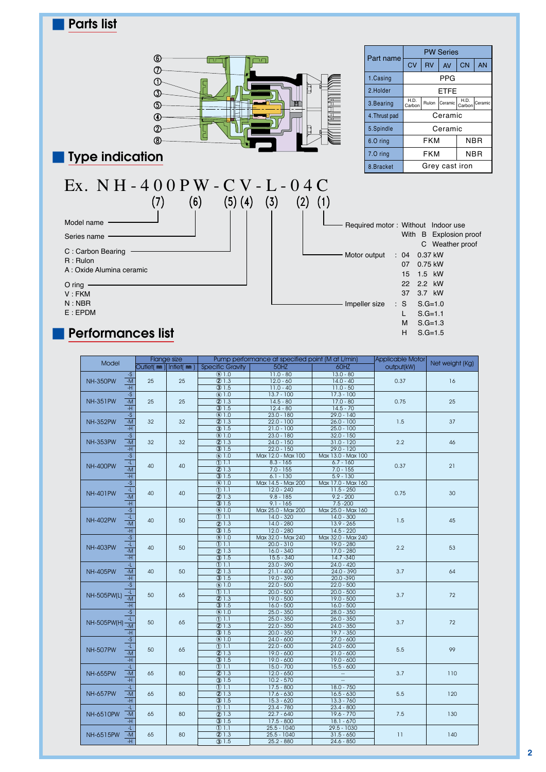

## ■ Performances list

| Flange size<br>Model                                 |                       |          | Pump performance at specified point (M at L/min) | Applicable Motor   | Net weight (Kg)    |            |     |  |
|------------------------------------------------------|-----------------------|----------|--------------------------------------------------|--------------------|--------------------|------------|-----|--|
|                                                      | Outlet(mm) Intlet(mm) |          | <b>Specific Gravity</b>                          | 50HZ               | 60HZ               | output(kW) |     |  |
| $-S$                                                 |                       |          | \$1.0                                            | $11.0 - 80$        | $13.0 - 80$        |            |     |  |
| <b>NH-350PW</b><br>$-M$                              | 25                    | 25       | (2) 1.3                                          | $12.0 - 60$        | $14.0 - 40$        | 0.37       | 16  |  |
| -H                                                   |                       |          | (3) 1.5                                          | $11.0 - 40$        | $11.0 - 50$        |            |     |  |
| $-S$                                                 |                       |          | \$1.0                                            | $13.7 - 100$       | $17.3 - 100$       |            |     |  |
| <b>NH-351PW</b><br>$\mathord{\text{-M}}$             | 25                    | 25       | 21.3                                             | $14.5 - 80$        | $17.0 - 80$        | 0.75       | 25  |  |
| -H                                                   |                       |          | (3) 1.5                                          | $12.4 - 80$        | $14.5 - 70$        |            |     |  |
| $-S$                                                 |                       |          | $\overline{\textcircled{s}}$ 1.0                 | $23.0 - 180$       | $29.0 - 140$       |            |     |  |
| <b>NH-352PW</b><br>$-M$                              | 32                    | 32       | 21.3                                             | $22.0 - 100$       | $26.0 - 100$       | 1.5        | 37  |  |
| -H                                                   |                       |          | (3) 1.5                                          | $21.0 - 100$       | $25.0 - 100$       |            |     |  |
| $-S$                                                 |                       |          | \$1.0                                            | $23.0 - 180$       | $32.0 - 150$       |            |     |  |
| <b>NH-353PW</b><br>$\mathsf{M}\mathsf{-}$            | 32                    | 32       | (2) 1.3                                          | $24.0 - 150$       | $31.0 - 120$       | 2.2        | 46  |  |
| <b>H</b>                                             |                       |          | (3) 1.5                                          | $22.0 - 150$       | $29.0 - 120$       |            |     |  |
| $-S$                                                 |                       |          | (s) 1.0                                          | Max 12.0 - Max 100 | Max 13.0 - Max 100 |            |     |  |
| 4.                                                   |                       |          | (D1.1)                                           | $8.3 - 165$        | $6.7 - 160$        |            |     |  |
| <b>NH-400PW</b><br>$-M$                              | 40                    | 40       | @1.3                                             | $7.0 - 155$        | $7.0 - 155$        | 0.37       | 21  |  |
| -H                                                   |                       |          | \$1.5                                            | $6.1 - 130$        | $5.9 - 130$        |            |     |  |
| $-S$                                                 |                       |          | $\overline{\textcircled{s}}$ 1.0                 | Max 14.5 - Max 200 | Max 17.0 - Max 160 |            |     |  |
|                                                      |                       |          | $①$ 1.1                                          | $12.0 - 240$       | $11.5 - 250$       |            | 30  |  |
| $\frac{-L}{-M}$<br><b>NH-401PW</b>                   | 40                    | 40       | (2) 1.3                                          | $9.8 - 185$        | $9.2 - 200$        | 0.75       |     |  |
| <u>म</u>                                             |                       |          | $\overline{3}$ 1.5                               | $9.1 - 165$        | $7.5 - 200$        |            |     |  |
| $\overline{-s}$                                      |                       |          | (s) 1.0                                          | Max 25.0 - Max 200 | Max 25.0 - Max 160 |            |     |  |
| 4.                                                   |                       |          | (D1.1)                                           | $14.0 - 320$       | $14.0 - 300$       |            | 45  |  |
| <b>NH-402PW</b><br>$-M$                              | 40                    | 50       | (2) 1.3                                          | $14.0 - 280$       | $13.9 - 265$       | 1.5        |     |  |
| $-H$                                                 |                       |          | (3) 1.5                                          | $12.0 - 280$       | $14.5 - 220$       |            |     |  |
| $-S$                                                 |                       |          | \$1.0                                            | Max 32.0 - Max 240 | Max 32.0 - Max 240 |            |     |  |
| $\overline{\mathbf{r}}$                              |                       |          | (D1.1)                                           | $20.0 - 310$       | 19.0 - 280         | 2.2        | 53  |  |
| <b>NH-403PW</b><br>$-M$                              | 40                    | 50       | (2) 1.3                                          | $16.0 - 340$       | $17.0 - 280$       |            |     |  |
|                                                      | -H                    |          | (3) 1.5                                          | $15.5 - 340$       | 14.7 - 340         |            |     |  |
| $\mathbf{L}$                                         |                       |          | ①1.1                                             | $23.0 - 390$       | $24.0 - 420$       |            |     |  |
| <b>NH-405PW</b><br>$\mathord{\text{-M}}$             | 40                    | 50       | 21.3                                             | $21.1 - 400$       | $24.0 - 390$       | 3.7        | 64  |  |
| -H                                                   |                       |          | (3) 1.5                                          | $19.0 - 390$       | $20.0 - 390$       |            |     |  |
| $-S$                                                 |                       |          | (s) 1.0                                          | $22.0 - 500$       | $22.0 - 500$       |            |     |  |
| чL,                                                  |                       |          | (D1.1)                                           | $20.0 - 500$       | $20.0 - 500$       |            |     |  |
| <b>NH-505PW(L)</b><br>$-M$                           | 50                    | 65       | (2)1.3                                           | $19.0 - 500$       | $19.0 - 500$       | 3.7        | 72  |  |
| -H                                                   |                       |          | (3) 1.5                                          | $16.0 - 500$       | $16.0 - 500$       |            |     |  |
| $-S$                                                 |                       |          | $\overline{\circ}$ 1.0                           | $25.0 - 350$       | $28.0 - 350$       |            |     |  |
| 4.                                                   |                       |          | (D1.1)                                           | $25.0 - 350$       | $26.0 - 350$       |            |     |  |
| <b>NH-505PW(H)</b><br>$-M$                           |                       | 50<br>65 | @1.3                                             | $22.0 - 350$       | $24.0 - 350$       | 3.7        | 72  |  |
| -H                                                   |                       |          | (3) 1.5                                          | $20.0 - 350$       | 19.7 - 350         |            |     |  |
| $\overline{-s}$                                      |                       |          | \$1.0                                            | $24.0 - 600$       | $27.0 - 600$       |            |     |  |
|                                                      |                       |          | ①1.1                                             | $22.0 - 600$       | $24.0 - 600$       |            |     |  |
| $\frac{-L}{-M}$<br><b>NH-507PW</b>                   | 50                    | 65       | (2) 1.3                                          | $19.0 - 600$       | $21.0 - 600$       | 5.5        | 99  |  |
| $\overline{H}$                                       |                       |          | $\overline{31.5}$                                | $19.0 - 600$       | $19.0 - 600$       |            |     |  |
| $\mathbf{-L}$                                        |                       |          | ①1.1                                             | $15.0 - 700$       | $15.5 - 600$       |            |     |  |
| $-M$<br><b>NH-655PW</b>                              | 65                    | 80       | (2) 1.3                                          | $12.0 - 650$       | $\sim$             | 3.7        | 110 |  |
| -H                                                   |                       |          | (3) 1.5                                          | $10.2 - 570$       | ÷.                 |            |     |  |
|                                                      |                       |          | (D1.1)                                           | $17.5 - 800$       | $18.0 - 750$       |            |     |  |
| Æ.<br><b>NH-657PW</b><br>$\mathord{\text{-M}}$<br>-H |                       | 65<br>80 |                                                  | $17.6 - 630$       | $16.5 - 630$       |            | 120 |  |
|                                                      |                       |          | @1.3                                             | $15.3 - 620$       | $13.3 - 760$       | 5.5        |     |  |
|                                                      |                       |          | (3) 1.5                                          |                    | $23.4 - 800$       |            |     |  |
| ٠L.                                                  |                       | 80       | (D1.1)                                           | $23.4 - 780$       |                    |            |     |  |
| NH-6510PW<br>$-M$                                    | 65                    |          | (2) 1.3                                          | $22.7 - 640$       | $19.6 - 770$       | 7.5        | 130 |  |
| -H                                                   |                       |          | (3) 1.5                                          | $17.5 - 800$       | $18.1 - 670$       |            |     |  |
| ٠L.                                                  |                       | 80       | ①1.1                                             | $25.5 - 1040$      | 29.5 - 1030        | 11         |     |  |
| NH-6515PW                                            | $-M$<br>65            |          | (2) 1.3                                          | $25.5 - 1040$      | $31.5 - 650$       |            | 140 |  |
| -H                                                   |                       |          | (3) 1.5                                          | $25.2 - 880$       | $24.6 - 850$       |            |     |  |

H S.G=1.5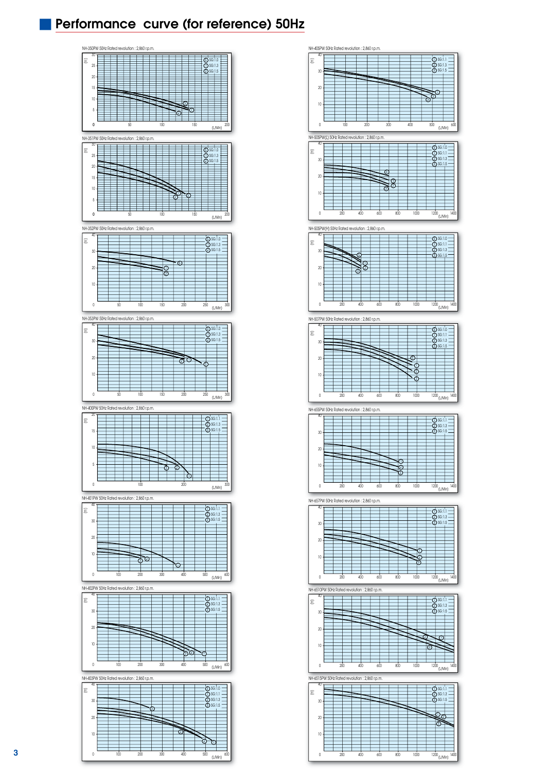## **Performance curve (for reference) 50Hz**



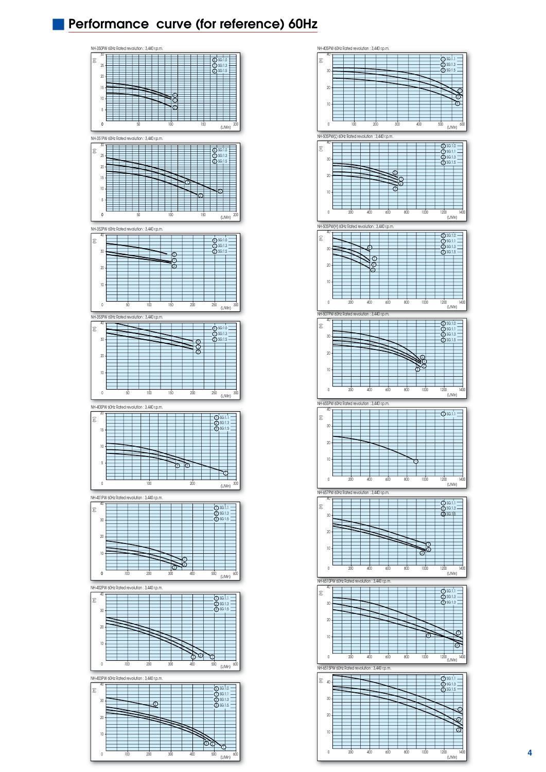### **Performance curve (for reference) 60Hz**



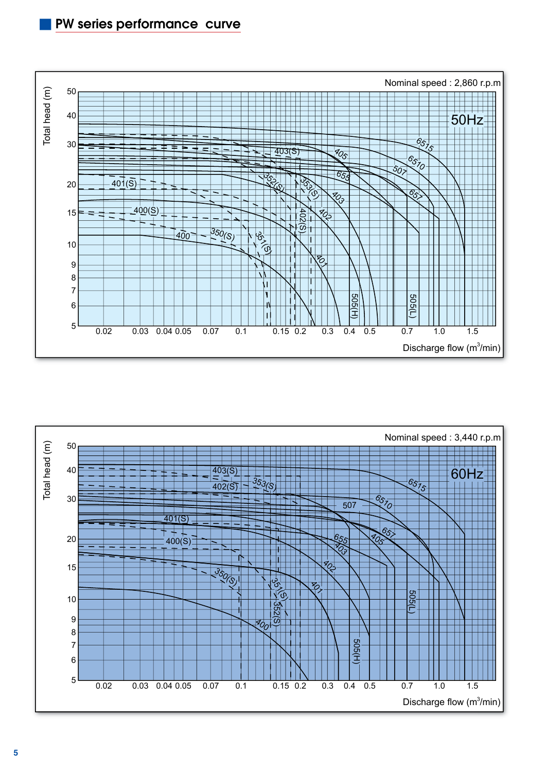

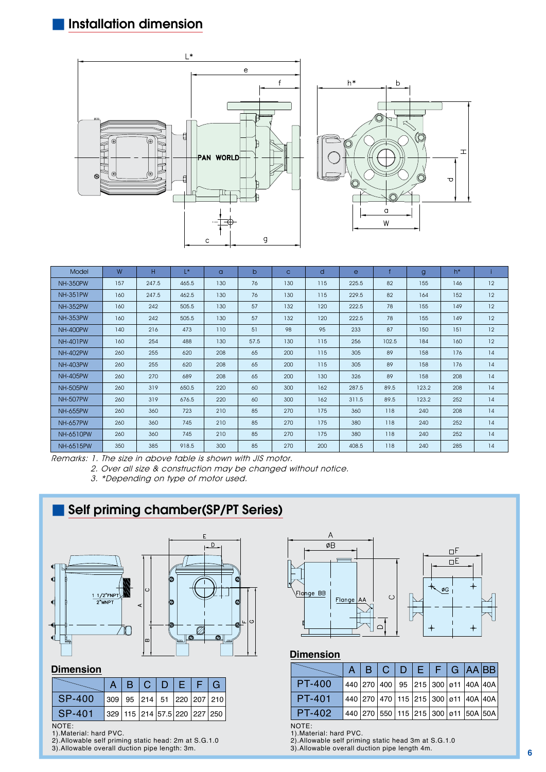



| Model            | W   | H     | L*    | $\alpha$ | $\mathsf{b}$ | $\mathbf{C}$ | d   | $\mathbf{e}$ |       | $\mathbf{g}$ | $h^*$ |    |
|------------------|-----|-------|-------|----------|--------------|--------------|-----|--------------|-------|--------------|-------|----|
| <b>NH-350PW</b>  | 157 | 247.5 | 465.5 | 130      | 76           | 130          | 115 | 225.5        | 82    | 155          | 146   | 12 |
| <b>NH-351PW</b>  | 160 | 247.5 | 462.5 | 130      | 76           | 130          | 115 | 229.5        | 82    | 164          | 152   | 12 |
| <b>NH-352PW</b>  | 160 | 242   | 505.5 | 130      | 57           | 132          | 120 | 222.5        | 78    | 155          | 149   | 12 |
| <b>NH-353PW</b>  | 160 | 242   | 505.5 | 130      | 57           | 132          | 120 | 222.5        | 78    | 155          | 149   | 12 |
| <b>NH-400PW</b>  | 140 | 216   | 473   | 110      | 51           | 98           | 95  | 233          | 87    | 150          | 151   | 12 |
| <b>NH-401PW</b>  | 160 | 254   | 488   | 130      | 57.5         | 130          | 115 | 256          | 102.5 | 184          | 160   | 12 |
| <b>NH-402PW</b>  | 260 | 255   | 620   | 208      | 65           | 200          | 115 | 305          | 89    | 158          | 176   | 14 |
| <b>NH-403PW</b>  | 260 | 255   | 620   | 208      | 65           | 200          | 115 | 305          | 89    | 158          | 176   | 14 |
| <b>NH-405PW</b>  | 260 | 270   | 689   | 208      | 65           | 200          | 130 | 326          | 89    | 158          | 208   | 14 |
| <b>NH-505PW</b>  | 260 | 319   | 650.5 | 220      | 60           | 300          | 162 | 287.5        | 89.5  | 123.2        | 208   | 14 |
| <b>NH-507PW</b>  | 260 | 319   | 676.5 | 220      | 60           | 300          | 162 | 311.5        | 89.5  | 123.2        | 252   | 14 |
| <b>NH-655PW</b>  | 260 | 360   | 723   | 210      | 85           | 270          | 175 | 360          | 118   | 240          | 208   | 14 |
| <b>NH-657PW</b>  | 260 | 360   | 745   | 210      | 85           | 270          | 175 | 380          | 118   | 240          | 252   | 14 |
| <b>NH-6510PW</b> | 260 | 360   | 745   | 210      | 85           | 270          | 175 | 380          | 118   | 240          | 252   | 14 |
| NH-6515PW        | 350 | 385   | 918.5 | 300      | 85           | 270          | 200 | 408.5        | 118   | 240          | 285   | 14 |

Remarks: 1. The size in above table is shown with JIS motor.

2. Over all size & construction may be changed without notice.

3. \*Depending on type of motor used.



#### **Dimension**

|        |  | B C D E F G |  |                                          |
|--------|--|-------------|--|------------------------------------------|
| SP-400 |  |             |  | 309   95   214   51   220   207   210    |
| SP-401 |  |             |  | 329   115   214   57.5   220   227   250 |

#### NOTE: 1).Material: hard PVC.

2).Allowable self priming static head: 2m at S.G.1.0

3).Allowable overall duction pipe length: 3m.



#### **Dimension**

|               |  |  | $A \mid B \mid C \mid D \mid E \mid F \mid G \mid AA \mid BB$ |  |  |
|---------------|--|--|---------------------------------------------------------------|--|--|
| <b>PT-400</b> |  |  | 440 270 400 95 215 300 ø11 40A 40A                            |  |  |
| <b>PT-401</b> |  |  | 440 270 470 115 215 300 ø11 40A 40A                           |  |  |
| <b>PT-402</b> |  |  | 440 270 550 115 215 300 ø11 50A 50A                           |  |  |

NOTE: 1).Material: hard PVC.

- 2).Allowable self priming static head 3m at S.G.1.0 3).Allowable overall duction pipe length 4m.
	-